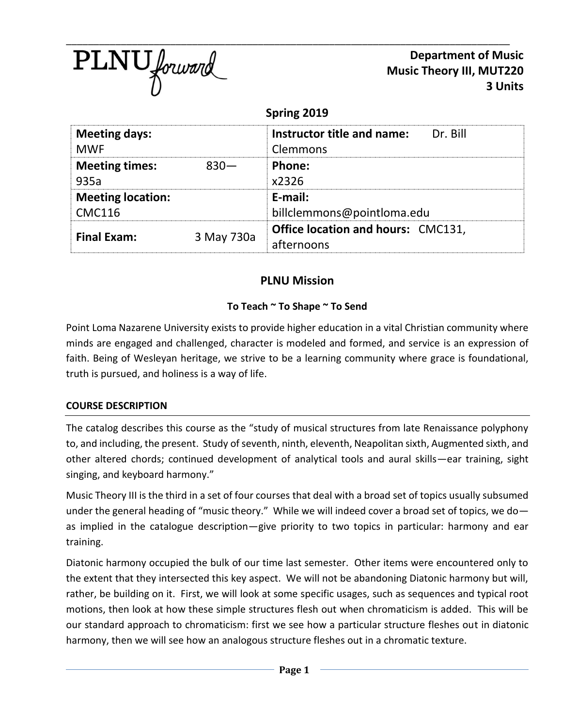

**Department of Music Music Theory III, MUT220 3 Units**

## **Spring 2019**

| <b>Meeting days:</b><br><b>MWF</b> |            | Dr. Bill<br>Instructor title and name:<br>Clemmons      |  |  |
|------------------------------------|------------|---------------------------------------------------------|--|--|
| <b>Meeting times:</b><br>935a      | $830 -$    | Phone:<br>x2326                                         |  |  |
| <b>Meeting location:</b>           |            | E-mail:                                                 |  |  |
| <b>CMC116</b>                      |            | billclemmons@pointloma.edu                              |  |  |
| <b>Final Exam:</b>                 | 3 May 730a | <b>Office location and hours: CMC131,</b><br>afternoons |  |  |

# **PLNU Mission**

## **To Teach ~ To Shape ~ To Send**

Point Loma Nazarene University exists to provide higher education in a vital Christian community where minds are engaged and challenged, character is modeled and formed, and service is an expression of faith. Being of Wesleyan heritage, we strive to be a learning community where grace is foundational, truth is pursued, and holiness is a way of life.

## **COURSE DESCRIPTION**

The catalog describes this course as the "study of musical structures from late Renaissance polyphony to, and including, the present. Study of seventh, ninth, eleventh, Neapolitan sixth, Augmented sixth, and other altered chords; continued development of analytical tools and aural skills—ear training, sight singing, and keyboard harmony."

Music Theory III is the third in a set of four courses that deal with a broad set of topics usually subsumed under the general heading of "music theory." While we will indeed cover a broad set of topics, we do as implied in the catalogue description—give priority to two topics in particular: harmony and ear training.

Diatonic harmony occupied the bulk of our time last semester. Other items were encountered only to the extent that they intersected this key aspect. We will not be abandoning Diatonic harmony but will, rather, be building on it. First, we will look at some specific usages, such as sequences and typical root motions, then look at how these simple structures flesh out when chromaticism is added. This will be our standard approach to chromaticism: first we see how a particular structure fleshes out in diatonic harmony, then we will see how an analogous structure fleshes out in a chromatic texture.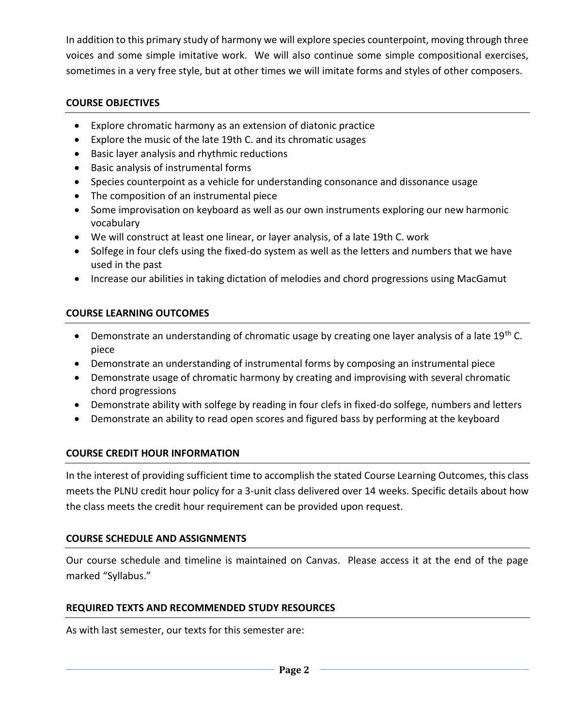In addition to this primary study of harmony we will explore species counterpoint, moving through three voices and some simple imitative work. We will also continue some simple compositional exercises, sometimes in a very free style, but at other times we will imitate forms and styles of other composers.

### **COURSE OBJECTIVES**

- Explore chromatic harmony as an extension of diatonic practice
- Explore the music of the late 19th C. and its chromatic usages
- Basic layer analysis and rhythmic reductions
- Basic analysis of instrumental forms
- Species counterpoint as a vehicle for understanding consonance and dissonance usage
- The composition of an instrumental piece
- Some improvisation on keyboard as well as our own instruments exploring our new harmonic vocabulary
- We will construct at least one linear, or layer analysis, of a late 19th C. work
- Solfege in four clefs using the fixed-do system as well as the letters and numbers that we have used in the past
- Increase our abilities in taking dictation of melodies and chord progressions using MacGamut

## **COURSE LEARNING OUTCOMES**

- Demonstrate an understanding of chromatic usage by creating one layer analysis of a late 19<sup>th</sup> C. piece
- Demonstrate an understanding of instrumental forms by composing an instrumental piece
- Demonstrate usage of chromatic harmony by creating and improvising with several chromatic chord progressions
- Demonstrate ability with solfege by reading in four clefs in fixed-do solfege, numbers and letters
- Demonstrate an ability to read open scores and figured bass by performing at the keyboard

## **COURSE CREDIT HOUR INFORMATION**

In the interest of providing sufficient time to accomplish the stated Course Learning Outcomes, this class meets the PLNU credit hour policy for a 3-unit class delivered over 14 weeks. Specific details about how the class meets the credit hour requirement can be provided upon request.

## **COURSE SCHEDULE AND ASSIGNMENTS**

Our course schedule and timeline is maintained on Canvas. Please access it at the end of the page marked "Syllabus."

## **REQUIRED TEXTS AND RECOMMENDED STUDY RESOURCES**

As with last semester, our texts for this semester are: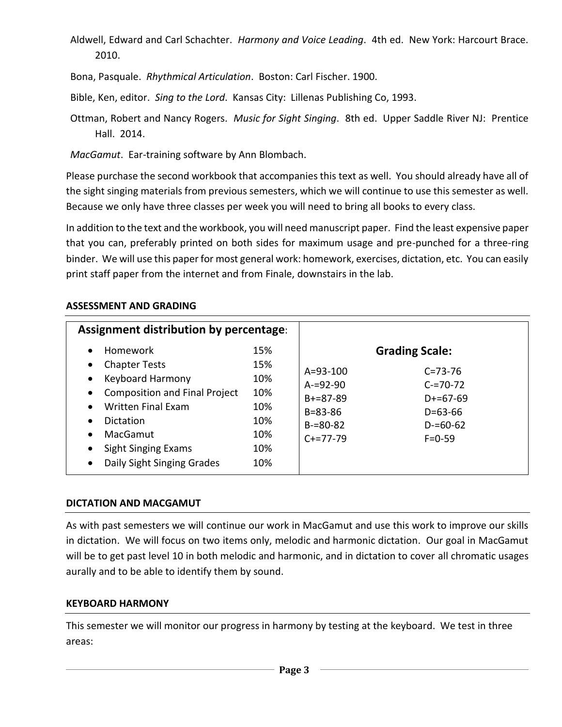Aldwell, Edward and Carl Schachter. *Harmony and Voice Leading*. 4th ed. New York: Harcourt Brace. 2010.

Bona, Pasquale. *Rhythmical Articulation*. Boston: Carl Fischer. 1900.

Bible, Ken, editor. *Sing to the Lord*. Kansas City: Lillenas Publishing Co, 1993.

Ottman, Robert and Nancy Rogers. *Music for Sight Singing*. 8th ed. Upper Saddle River NJ: Prentice Hall. 2014.

*MacGamut*. Ear-training software by Ann Blombach.

Please purchase the second workbook that accompanies this text as well. You should already have all of the sight singing materials from previous semesters, which we will continue to use this semester as well. Because we only have three classes per week you will need to bring all books to every class.

In addition to the text and the workbook, you will need manuscript paper. Find the least expensive paper that you can, preferably printed on both sides for maximum usage and pre-punched for a three-ring binder. We will use this paper for most general work: homework, exercises, dictation, etc. You can easily print staff paper from the internet and from Finale, downstairs in the lab.

### **ASSESSMENT AND GRADING**

| Assignment distribution by percentage:                                                                                                                                                                                                                                                                                                     |                                                             |                                                                                               |                                                                                                                         |
|--------------------------------------------------------------------------------------------------------------------------------------------------------------------------------------------------------------------------------------------------------------------------------------------------------------------------------------------|-------------------------------------------------------------|-----------------------------------------------------------------------------------------------|-------------------------------------------------------------------------------------------------------------------------|
| <b>Homework</b><br>$\bullet$<br><b>Chapter Tests</b><br>$\bullet$<br><b>Keyboard Harmony</b><br>$\bullet$<br><b>Composition and Final Project</b><br>$\bullet$<br><b>Written Final Exam</b><br>$\bullet$<br>Dictation<br>$\bullet$<br>MacGamut<br>$\bullet$<br>Sight Singing Exams<br>$\bullet$<br>Daily Sight Singing Grades<br>$\bullet$ | 15%<br>15%<br>10%<br>10%<br>10%<br>10%<br>10%<br>10%<br>10% | $A = 93 - 100$<br>$A = 92 - 90$<br>$B+=87-89$<br>$B = 83 - 86$<br>$B = 80 - 82$<br>$C+=77-79$ | <b>Grading Scale:</b><br>$C = 73 - 76$<br>$C = 70 - 72$<br>$D+=67-69$<br>$D = 63 - 66$<br>$D = 60 - 62$<br>$F = 0 - 59$ |

### **DICTATION AND MACGAMUT**

As with past semesters we will continue our work in MacGamut and use this work to improve our skills in dictation. We will focus on two items only, melodic and harmonic dictation. Our goal in MacGamut will be to get past level 10 in both melodic and harmonic, and in dictation to cover all chromatic usages aurally and to be able to identify them by sound.

#### **KEYBOARD HARMONY**

This semester we will monitor our progress in harmony by testing at the keyboard. We test in three areas: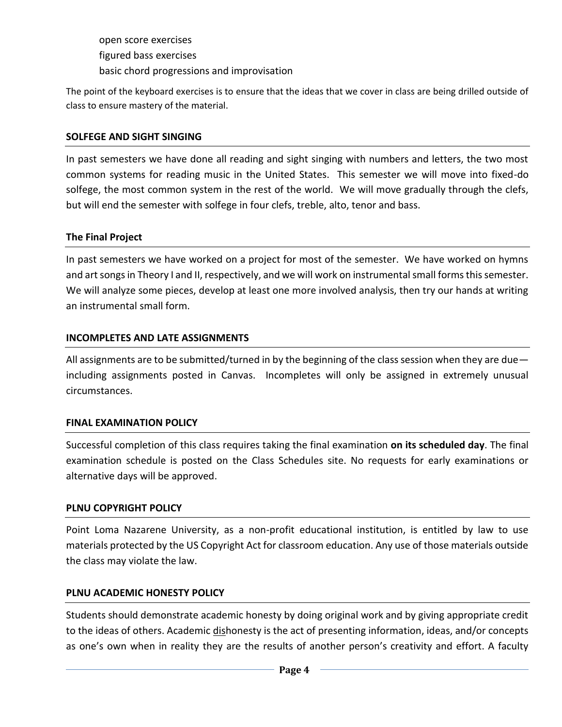open score exercises figured bass exercises basic chord progressions and improvisation

The point of the keyboard exercises is to ensure that the ideas that we cover in class are being drilled outside of class to ensure mastery of the material.

### **SOLFEGE AND SIGHT SINGING**

In past semesters we have done all reading and sight singing with numbers and letters, the two most common systems for reading music in the United States. This semester we will move into fixed-do solfege, the most common system in the rest of the world. We will move gradually through the clefs, but will end the semester with solfege in four clefs, treble, alto, tenor and bass.

### **The Final Project**

In past semesters we have worked on a project for most of the semester. We have worked on hymns and art songs in Theory I and II, respectively, and we will work on instrumental small forms this semester. We will analyze some pieces, develop at least one more involved analysis, then try our hands at writing an instrumental small form.

### **INCOMPLETES AND LATE ASSIGNMENTS**

All assignments are to be submitted/turned in by the beginning of the class session when they are due including assignments posted in Canvas. Incompletes will only be assigned in extremely unusual circumstances.

#### **FINAL EXAMINATION POLICY**

Successful completion of this class requires taking the final examination **on its scheduled day**. The final examination schedule is posted on the Class Schedules site. No requests for early examinations or alternative days will be approved.

#### **PLNU COPYRIGHT POLICY**

Point Loma Nazarene University, as a non-profit educational institution, is entitled by law to use materials protected by the US Copyright Act for classroom education. Any use of those materials outside the class may violate the law.

### **PLNU ACADEMIC HONESTY POLICY**

Students should demonstrate academic honesty by doing original work and by giving appropriate credit to the ideas of others. Academic dishonesty is the act of presenting information, ideas, and/or concepts as one's own when in reality they are the results of another person's creativity and effort. A faculty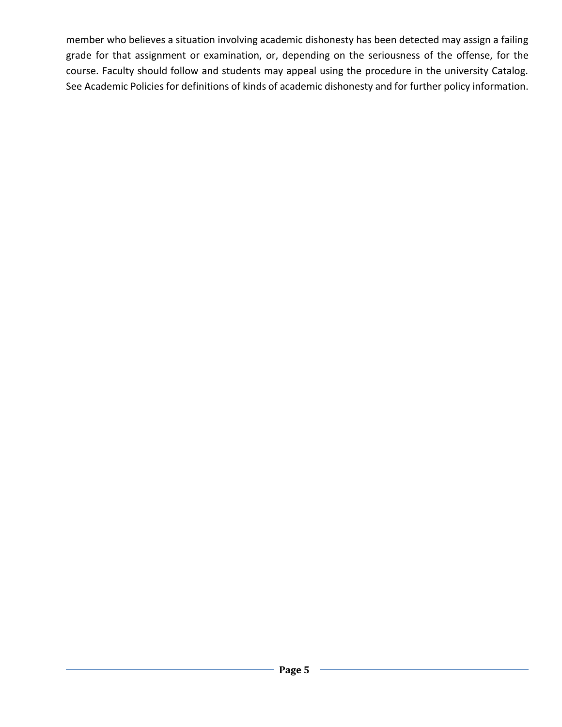member who believes a situation involving academic dishonesty has been detected may assign a failing grade for that assignment or examination, or, depending on the seriousness of the offense, for the course. Faculty should follow and students may appeal using the procedure in the university Catalog. See Academic Policies for definitions of kinds of academic dishonesty and for further policy information.